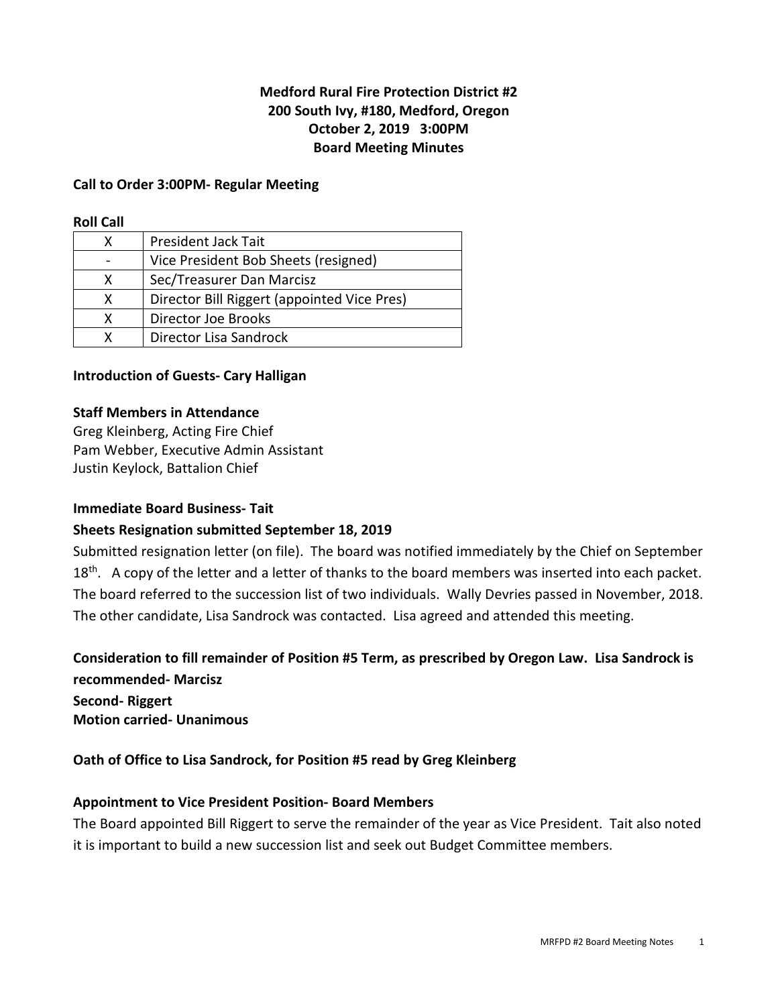## **Medford Rural Fire Protection District #2 200 South Ivy, #180, Medford, Oregon October 2, 2019 3:00PM Board Meeting Minutes**

#### **Call to Order 3:00PM- Regular Meeting**

#### **Roll Call**

| x | <b>President Jack Tait</b>                  |
|---|---------------------------------------------|
|   | Vice President Bob Sheets (resigned)        |
| x | Sec/Treasurer Dan Marcisz                   |
| x | Director Bill Riggert (appointed Vice Pres) |
| x | Director Joe Brooks                         |
|   | Director Lisa Sandrock                      |

#### **Introduction of Guests- Cary Halligan**

#### **Staff Members in Attendance**

Greg Kleinberg, Acting Fire Chief Pam Webber, Executive Admin Assistant Justin Keylock, Battalion Chief

#### **Immediate Board Business- Tait**

#### **Sheets Resignation submitted September 18, 2019**

Submitted resignation letter (on file). The board was notified immediately by the Chief on September  $18<sup>th</sup>$ . A copy of the letter and a letter of thanks to the board members was inserted into each packet. The board referred to the succession list of two individuals. Wally Devries passed in November, 2018. The other candidate, Lisa Sandrock was contacted. Lisa agreed and attended this meeting.

**Consideration to fill remainder of Position #5 Term, as prescribed by Oregon Law. Lisa Sandrock is recommended- Marcisz Second- Riggert**

**Motion carried- Unanimous** 

#### **Oath of Office to Lisa Sandrock, for Position #5 read by Greg Kleinberg**

#### **Appointment to Vice President Position- Board Members**

The Board appointed Bill Riggert to serve the remainder of the year as Vice President. Tait also noted it is important to build a new succession list and seek out Budget Committee members.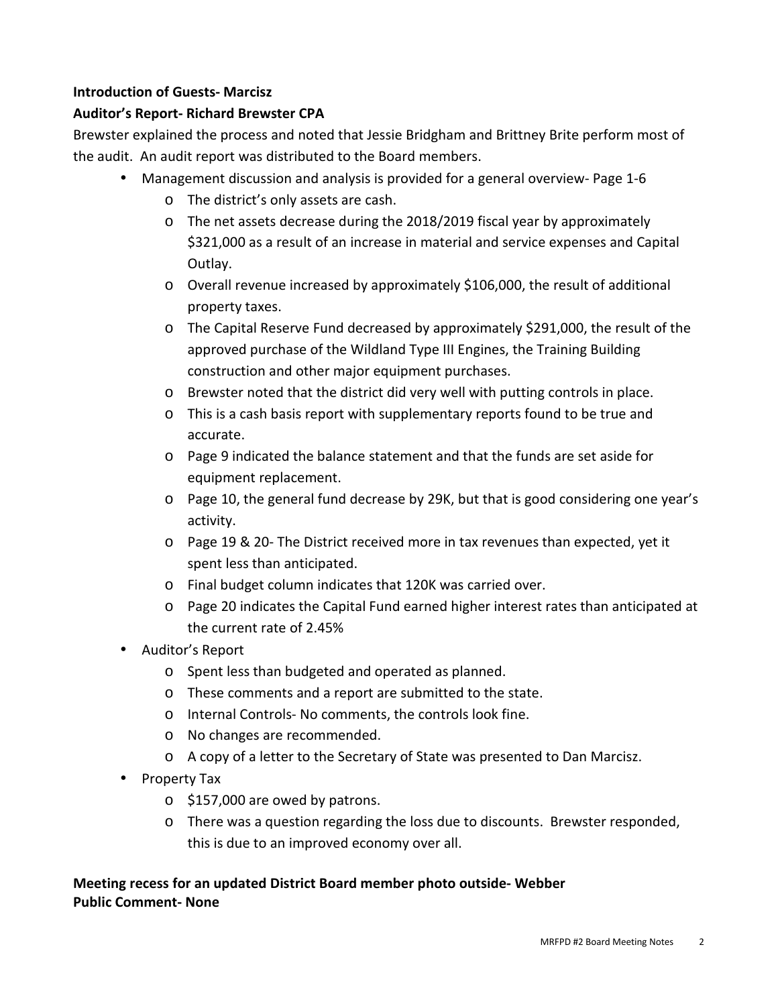## **Introduction of Guests- Marcisz**

## **Auditor's Report- Richard Brewster CPA**

Brewster explained the process and noted that Jessie Bridgham and Brittney Brite perform most of the audit. An audit report was distributed to the Board members.

- Management discussion and analysis is provided for a general overview- Page 1-6
	- o The district's only assets are cash.
	- o The net assets decrease during the 2018/2019 fiscal year by approximately \$321,000 as a result of an increase in material and service expenses and Capital Outlay.
	- o Overall revenue increased by approximately \$106,000, the result of additional property taxes.
	- o The Capital Reserve Fund decreased by approximately \$291,000, the result of the approved purchase of the Wildland Type III Engines, the Training Building construction and other major equipment purchases.
	- o Brewster noted that the district did very well with putting controls in place.
	- o This is a cash basis report with supplementary reports found to be true and accurate.
	- o Page 9 indicated the balance statement and that the funds are set aside for equipment replacement.
	- o Page 10, the general fund decrease by 29K, but that is good considering one year's activity.
	- o Page 19 & 20- The District received more in tax revenues than expected, yet it spent less than anticipated.
	- o Final budget column indicates that 120K was carried over.
	- o Page 20 indicates the Capital Fund earned higher interest rates than anticipated at the current rate of 2.45%
- Auditor's Report
	- o Spent less than budgeted and operated as planned.
	- o These comments and a report are submitted to the state.
	- o Internal Controls- No comments, the controls look fine.
	- o No changes are recommended.
	- o A copy of a letter to the Secretary of State was presented to Dan Marcisz.
- Property Tax
	- o \$157,000 are owed by patrons.
	- o There was a question regarding the loss due to discounts. Brewster responded, this is due to an improved economy over all.

# **Meeting recess for an updated District Board member photo outside- Webber Public Comment- None**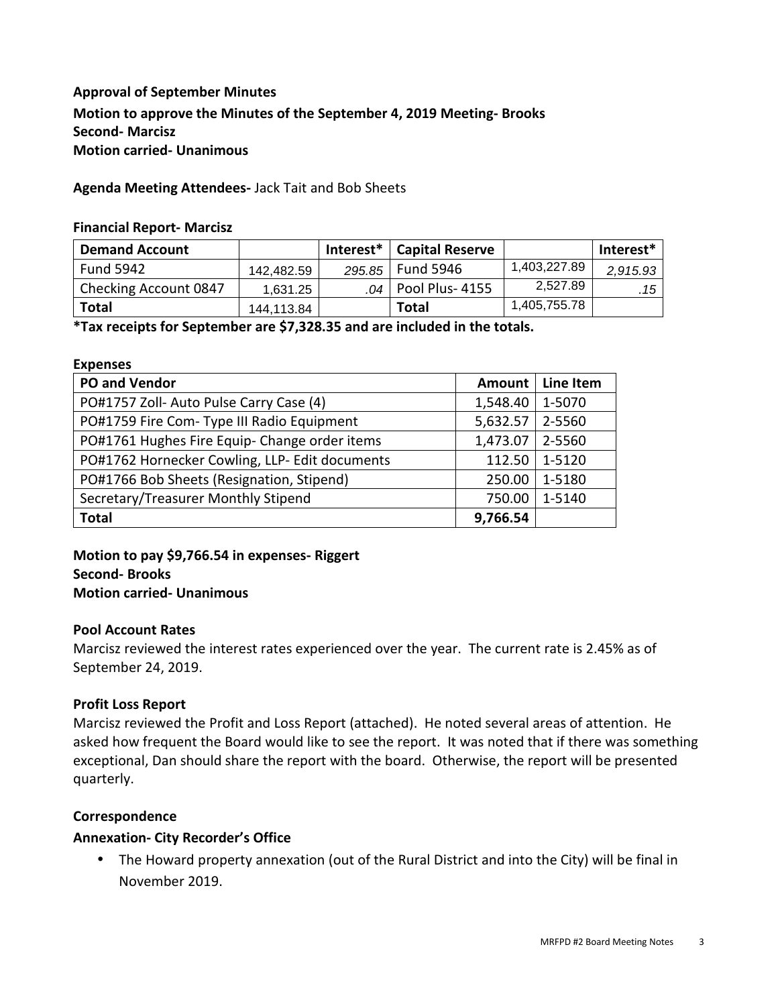# **Approval of September Minutes Motion to approve the Minutes of the September 4, 2019 Meeting- Brooks Second- Marcisz Motion carried- Unanimous**

#### **Agenda Meeting Attendees-** Jack Tait and Bob Sheets

#### **Financial Report- Marcisz**

| <b>Demand Account</b>        |            | Interest $*$ | <b>Capital Reserve</b>  |              | Interest* |
|------------------------------|------------|--------------|-------------------------|--------------|-----------|
| <b>Fund 5942</b>             | 142.482.59 | 295.85       | <b>Fund 5946</b>        | 1,403,227.89 | 2,915.93  |
| <b>Checking Account 0847</b> | 1.631.25   |              | $.04$   Pool Plus- 4155 | 2,527.89     | . 15      |
| <b>Total</b>                 | 144.113.84 |              | Total                   | 1,405,755.78 |           |

**\*Tax receipts for September are \$7,328.35 and are included in the totals.** 

#### **Expenses**

| <b>PO and Vendor</b>                           | Amount   | Line Item |
|------------------------------------------------|----------|-----------|
| PO#1757 Zoll- Auto Pulse Carry Case (4)        | 1,548.40 | 1-5070    |
| PO#1759 Fire Com- Type III Radio Equipment     | 5,632.57 | 2-5560    |
| PO#1761 Hughes Fire Equip- Change order items  | 1,473.07 | 2-5560    |
| PO#1762 Hornecker Cowling, LLP- Edit documents | 112.50   | 1-5120    |
| PO#1766 Bob Sheets (Resignation, Stipend)      | 250.00   | 1-5180    |
| Secretary/Treasurer Monthly Stipend            | 750.00   | 1-5140    |
| <b>Total</b>                                   | 9,766.54 |           |

## **Motion to pay \$9,766.54 in expenses- Riggert Second- Brooks Motion carried- Unanimous**

#### **Pool Account Rates**

Marcisz reviewed the interest rates experienced over the year. The current rate is 2.45% as of September 24, 2019.

#### **Profit Loss Report**

Marcisz reviewed the Profit and Loss Report (attached). He noted several areas of attention. He asked how frequent the Board would like to see the report. It was noted that if there was something exceptional, Dan should share the report with the board. Otherwise, the report will be presented quarterly.

### **Correspondence**

#### **Annexation- City Recorder's Office**

• The Howard property annexation (out of the Rural District and into the City) will be final in November 2019.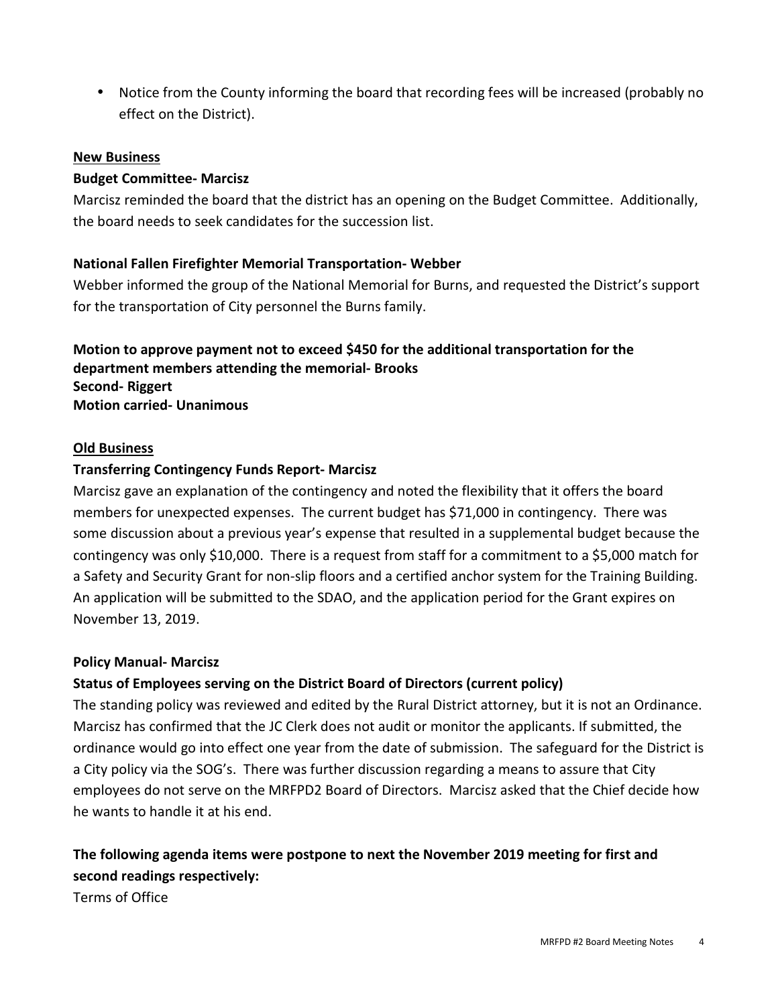• Notice from the County informing the board that recording fees will be increased (probably no effect on the District).

## **New Business**

## **Budget Committee- Marcisz**

Marcisz reminded the board that the district has an opening on the Budget Committee. Additionally, the board needs to seek candidates for the succession list.

## **National Fallen Firefighter Memorial Transportation- Webber**

Webber informed the group of the National Memorial for Burns, and requested the District's support for the transportation of City personnel the Burns family.

## **Motion to approve payment not to exceed \$450 for the additional transportation for the department members attending the memorial- Brooks Second- Riggert Motion carried- Unanimous**

#### **Old Business**

## **Transferring Contingency Funds Report- Marcisz**

Marcisz gave an explanation of the contingency and noted the flexibility that it offers the board members for unexpected expenses. The current budget has \$71,000 in contingency. There was some discussion about a previous year's expense that resulted in a supplemental budget because the contingency was only \$10,000. There is a request from staff for a commitment to a \$5,000 match for a Safety and Security Grant for non-slip floors and a certified anchor system for the Training Building. An application will be submitted to the SDAO, and the application period for the Grant expires on November 13, 2019.

#### **Policy Manual- Marcisz**

#### **Status of Employees serving on the District Board of Directors (current policy)**

The standing policy was reviewed and edited by the Rural District attorney, but it is not an Ordinance. Marcisz has confirmed that the JC Clerk does not audit or monitor the applicants. If submitted, the ordinance would go into effect one year from the date of submission. The safeguard for the District is a City policy via the SOG's. There was further discussion regarding a means to assure that City employees do not serve on the MRFPD2 Board of Directors. Marcisz asked that the Chief decide how he wants to handle it at his end.

# **The following agenda items were postpone to next the November 2019 meeting for first and second readings respectively:**

Terms of Office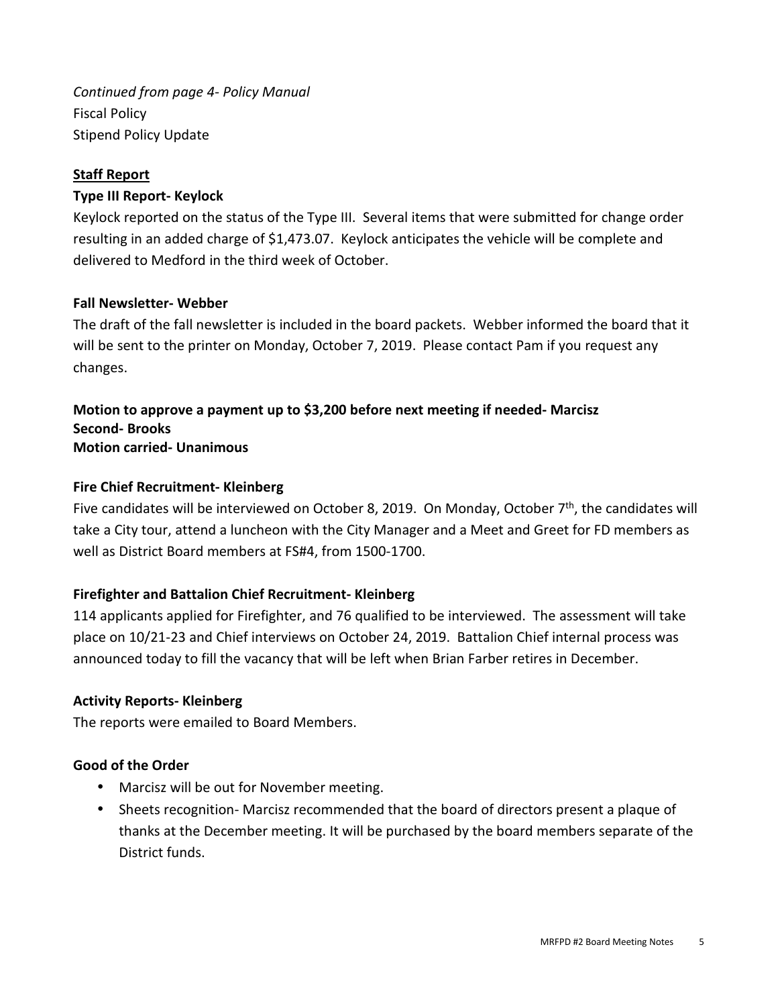*Continued from page 4- Policy Manual*  Fiscal Policy Stipend Policy Update

## **Staff Report**

# **Type III Report- Keylock**

Keylock reported on the status of the Type III. Several items that were submitted for change order resulting in an added charge of \$1,473.07. Keylock anticipates the vehicle will be complete and delivered to Medford in the third week of October.

# **Fall Newsletter- Webber**

The draft of the fall newsletter is included in the board packets. Webber informed the board that it will be sent to the printer on Monday, October 7, 2019. Please contact Pam if you request any changes.

## **Motion to approve a payment up to \$3,200 before next meeting if needed- Marcisz Second- Brooks Motion carried- Unanimous**

# **Fire Chief Recruitment- Kleinberg**

Five candidates will be interviewed on October 8, 2019. On Monday, October  $7<sup>th</sup>$ , the candidates will take a City tour, attend a luncheon with the City Manager and a Meet and Greet for FD members as well as District Board members at FS#4, from 1500-1700.

# **Firefighter and Battalion Chief Recruitment- Kleinberg**

114 applicants applied for Firefighter, and 76 qualified to be interviewed. The assessment will take place on 10/21-23 and Chief interviews on October 24, 2019. Battalion Chief internal process was announced today to fill the vacancy that will be left when Brian Farber retires in December.

## **Activity Reports- Kleinberg**

The reports were emailed to Board Members.

# **Good of the Order**

- Marcisz will be out for November meeting.
- Sheets recognition- Marcisz recommended that the board of directors present a plaque of thanks at the December meeting. It will be purchased by the board members separate of the District funds.